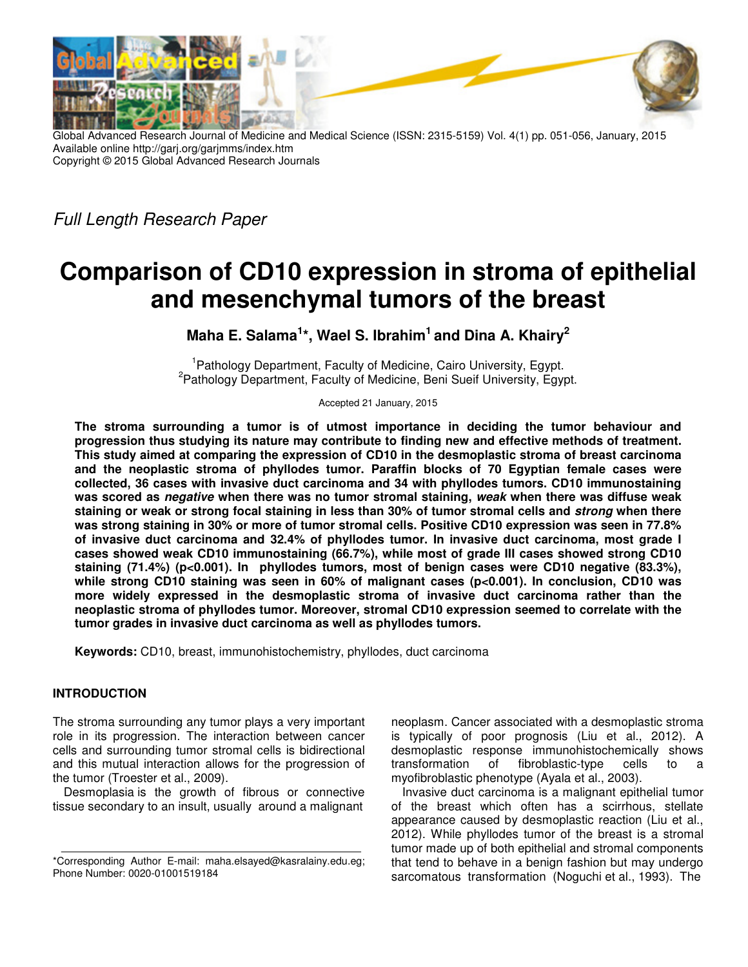

Global Advanced Research Journal of Medicine and Medical Science (ISSN: 2315-5159) Vol. 4(1) pp. 051-056, January, 2015 Available online http://garj.org/garjmms/index.htm Copyright © 2015 Global Advanced Research Journals

Full Length Research Paper

# **Comparison of CD10 expression in stroma of epithelial and mesenchymal tumors of the breast**

**Maha E. Salama<sup>1</sup> \*, Wael S. Ibrahim<sup>1</sup>and Dina A. Khairy<sup>2</sup>**

<sup>1</sup> Pathology Department, Faculty of Medicine, Cairo University, Egypt. <sup>2</sup> Pathology Department, Faculty of Medicine, Beni Sueif University, Egypt.

Accepted 21 January, 2015

**The stroma surrounding a tumor is of utmost importance in deciding the tumor behaviour and progression thus studying its nature may contribute to finding new and effective methods of treatment. This study aimed at comparing the expression of CD10 in the desmoplastic stroma of breast carcinoma and the neoplastic stroma of phyllodes tumor. Paraffin blocks of 70 Egyptian female cases were collected, 36 cases with invasive duct carcinoma and 34 with phyllodes tumors. CD10 immunostaining was scored as negative when there was no tumor stromal staining, weak when there was diffuse weak staining or weak or strong focal staining in less than 30% of tumor stromal cells and strong when there was strong staining in 30% or more of tumor stromal cells. Positive CD10 expression was seen in 77.8% of invasive duct carcinoma and 32.4% of phyllodes tumor. In invasive duct carcinoma, most grade I cases showed weak CD10 immunostaining (66.7%), while most of grade III cases showed strong CD10 staining (71.4%) (p<0.001). In phyllodes tumors, most of benign cases were CD10 negative (83.3%),**  while strong CD10 staining was seen in 60% of malignant cases (p<0.001). In conclusion, CD10 was **more widely expressed in the desmoplastic stroma of invasive duct carcinoma rather than the neoplastic stroma of phyllodes tumor. Moreover, stromal CD10 expression seemed to correlate with the tumor grades in invasive duct carcinoma as well as phyllodes tumors.** 

**Keywords:** CD10, breast, immunohistochemistry, phyllodes, duct carcinoma

## **INTRODUCTION**

The stroma surrounding any tumor plays a very important role in its progression. The interaction between cancer cells and surrounding tumor stromal cells is bidirectional and this mutual interaction allows for the progression of the tumor (Troester et al., 2009).

Desmoplasia is the growth of fibrous or connective tissue secondary to an insult, usually around a malignant

neoplasm. Cancer associated with a desmoplastic stroma is typically of poor prognosis (Liu et al., 2012). A desmoplastic response immunohistochemically shows transformation of fibroblastic-type cells to a myofibroblastic phenotype (Ayala et al., 2003).

Invasive duct carcinoma is a malignant epithelial tumor of the breast which often has a scirrhous, stellate appearance caused by desmoplastic reaction (Liu et al., 2012). While phyllodes tumor of the breast is a stromal tumor made up of both epithelial and stromal components that tend to behave in a benign fashion but may undergo sarcomatous transformation (Noguchi et al., 1993). The

<sup>\*</sup>Corresponding Author E-mail: maha.elsayed@kasralainy.edu.eg; Phone Number: 0020-01001519184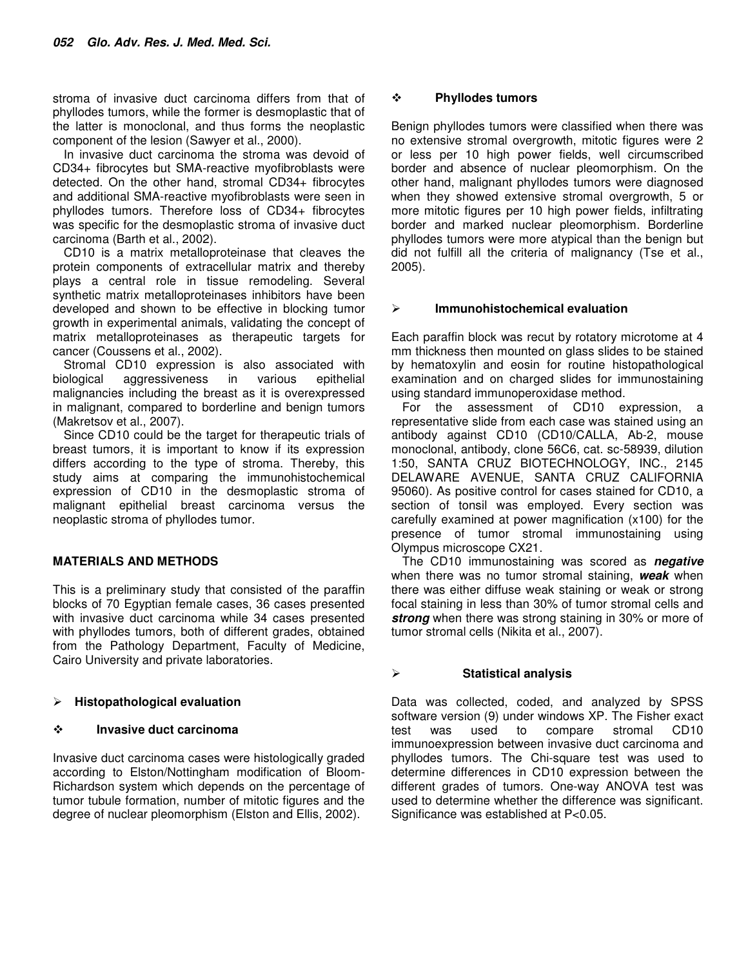stroma of invasive duct carcinoma differs from that of phyllodes tumors, while the former is desmoplastic that of the latter is monoclonal, and thus forms the neoplastic component of the lesion (Sawyer et al., 2000).

In invasive duct carcinoma the stroma was devoid of CD34+ fibrocytes but SMA-reactive myofibroblasts were detected. On the other hand, stromal CD34+ fibrocytes and additional SMA-reactive myofibroblasts were seen in phyllodes tumors. Therefore loss of CD34+ fibrocytes was specific for the desmoplastic stroma of invasive duct carcinoma (Barth et al., 2002).

CD10 is a matrix metalloproteinase that cleaves the protein components of extracellular matrix and thereby plays a central role in tissue remodeling. Several synthetic matrix metalloproteinases inhibitors have been developed and shown to be effective in blocking tumor growth in experimental animals, validating the concept of matrix metalloproteinases as therapeutic targets for cancer (Coussens et al., 2002).

Stromal CD10 expression is also associated with biological aggressiveness in various epithelial malignancies including the breast as it is overexpressed in malignant, compared to borderline and benign tumors (Makretsov et al., 2007).

Since CD10 could be the target for therapeutic trials of breast tumors, it is important to know if its expression differs according to the type of stroma. Thereby, this study aims at comparing the immunohistochemical expression of CD10 in the desmoplastic stroma of malignant epithelial breast carcinoma versus the neoplastic stroma of phyllodes tumor.

#### **MATERIALS AND METHODS**

This is a preliminary study that consisted of the paraffin blocks of 70 Egyptian female cases, 36 cases presented with invasive duct carcinoma while 34 cases presented with phyllodes tumors, both of different grades, obtained from the Pathology Department, Faculty of Medicine, Cairo University and private laboratories.

## **Histopathological evaluation**

#### $\cdot$ **Invasive duct carcinoma**

Invasive duct carcinoma cases were histologically graded according to Elston/Nottingham modification of Bloom-Richardson system which depends on the percentage of tumor tubule formation, number of mitotic figures and the degree of nuclear pleomorphism (Elston and Ellis, 2002).

#### $\cdot$ **Phyllodes tumors**

Benign phyllodes tumors were classified when there was no extensive stromal overgrowth, mitotic figures were 2 or less per 10 high power fields, well circumscribed border and absence of nuclear pleomorphism. On the other hand, malignant phyllodes tumors were diagnosed when they showed extensive stromal overgrowth, 5 or more mitotic figures per 10 high power fields, infiltrating border and marked nuclear pleomorphism. Borderline phyllodes tumors were more atypical than the benign but did not fulfill all the criteria of malignancy (Tse et al., 2005).

#### **Immunohistochemical evaluation**

Each paraffin block was recut by rotatory microtome at 4 mm thickness then mounted on glass slides to be stained by hematoxylin and eosin for routine histopathological examination and on charged slides for immunostaining using standard immunoperoxidase method.

For the assessment of CD10 expression, a representative slide from each case was stained using an antibody against CD10 (CD10/CALLA, Ab-2, mouse monoclonal, antibody, clone 56C6, cat. sc-58939, dilution 1:50, SANTA CRUZ BIOTECHNOLOGY, INC., 2145 DELAWARE AVENUE, SANTA CRUZ CALIFORNIA 95060). As positive control for cases stained for CD10, a section of tonsil was employed. Every section was carefully examined at power magnification (x100) for the presence of tumor stromal immunostaining using Olympus microscope CX21.

The CD10 immunostaining was scored as **negative** when there was no tumor stromal staining, **weak** when there was either diffuse weak staining or weak or strong focal staining in less than 30% of tumor stromal cells and strong when there was strong staining in 30% or more of tumor stromal cells (Nikita et al., 2007).

## **Statistical analysis**

Data was collected, coded, and analyzed by SPSS software version (9) under windows XP. The Fisher exact test was used to compare stromal CD10 immunoexpression between invasive duct carcinoma and phyllodes tumors. The Chi-square test was used to determine differences in CD10 expression between the different grades of tumors. One-way ANOVA test was used to determine whether the difference was significant. Significance was established at P<0.05.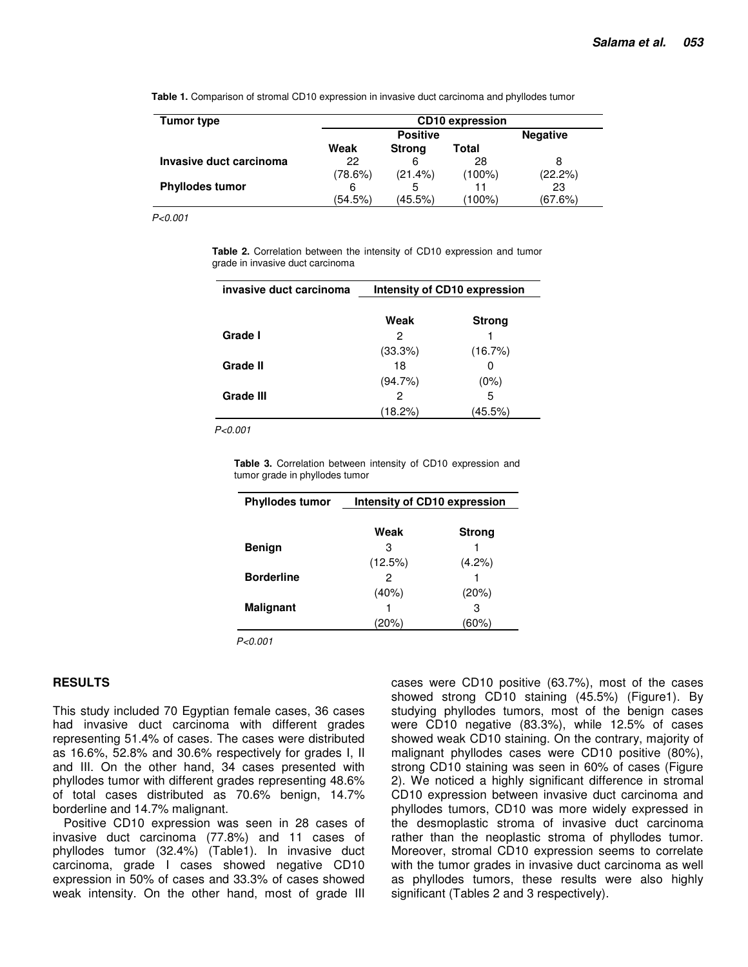| Tumor type              | <b>CD10</b> expression |                 |           |         |  |
|-------------------------|------------------------|-----------------|-----------|---------|--|
|                         |                        | <b>Negative</b> |           |         |  |
|                         | Weak                   | <b>Strong</b>   | Total     |         |  |
| Invasive duct carcinoma | 22                     | 6               | 28        | 8       |  |
|                         | (78.6%)                | (21.4%)         | $(100\%)$ | (22.2%) |  |
| <b>Phyllodes tumor</b>  | 6                      | 5               | 11        | 23      |  |
|                         | (54.5%)                | (45.5%)         | (100%)    | (67.6%) |  |

**Table 1.** Comparison of stromal CD10 expression in invasive duct carcinoma and phyllodes tumor

P<0.001

**Table 2.** Correlation between the intensity of CD10 expression and tumor grade in invasive duct carcinoma

| Intensity of CD10 expression |               |  |
|------------------------------|---------------|--|
| Weak                         | <b>Strong</b> |  |
| 2                            |               |  |
| (33.3%)                      | (16.7%)       |  |
| 18                           | 0             |  |
| (94.7%)                      | $(0\%)$       |  |
| 2                            | 5             |  |
| (18.2%)                      | (45.5%)       |  |
|                              |               |  |

P<0.001

**Table 3.** Correlation between intensity of CD10 expression and tumor grade in phyllodes tumor

| <b>Phyllodes tumor</b> | Intensity of CD10 expression |               |  |
|------------------------|------------------------------|---------------|--|
|                        |                              |               |  |
|                        | Weak                         | <b>Strong</b> |  |
| <b>Benign</b>          | З                            |               |  |
|                        | (12.5%)                      | $(4.2\%)$     |  |
| <b>Borderline</b>      | 2                            |               |  |
|                        | $(40\%)$                     | (20%)         |  |
| <b>Malignant</b>       |                              | з             |  |
|                        | $20\%)$                      | 60%)          |  |

P<0.001

#### **RESULTS**

This study included 70 Egyptian female cases, 36 cases had invasive duct carcinoma with different grades representing 51.4% of cases. The cases were distributed as 16.6%, 52.8% and 30.6% respectively for grades I, II and III. On the other hand, 34 cases presented with phyllodes tumor with different grades representing 48.6% of total cases distributed as 70.6% benign, 14.7% borderline and 14.7% malignant.

Positive CD10 expression was seen in 28 cases of invasive duct carcinoma (77.8%) and 11 cases of phyllodes tumor (32.4%) (Table1). In invasive duct carcinoma, grade I cases showed negative CD10 expression in 50% of cases and 33.3% of cases showed weak intensity. On the other hand, most of grade III

cases were CD10 positive (63.7%), most of the cases showed strong CD10 staining (45.5%) (Figure1). By studying phyllodes tumors, most of the benign cases were CD10 negative (83.3%), while 12.5% of cases showed weak CD10 staining. On the contrary, majority of malignant phyllodes cases were CD10 positive (80%), strong CD10 staining was seen in 60% of cases (Figure 2). We noticed a highly significant difference in stromal CD10 expression between invasive duct carcinoma and phyllodes tumors, CD10 was more widely expressed in the desmoplastic stroma of invasive duct carcinoma rather than the neoplastic stroma of phyllodes tumor. Moreover, stromal CD10 expression seems to correlate with the tumor grades in invasive duct carcinoma as well as phyllodes tumors, these results were also highly significant (Tables 2 and 3 respectively).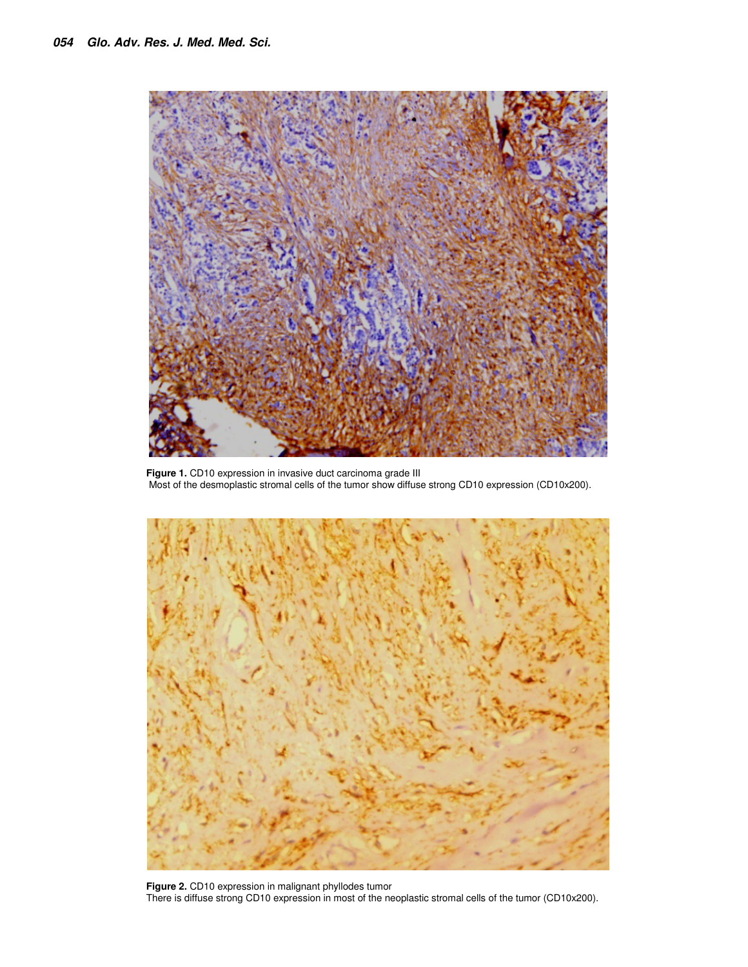

**Figure 1.** CD10 expression in invasive duct carcinoma grade III Most of the desmoplastic stromal cells of the tumor show diffuse strong CD10 expression (CD10x200).



**Figure 2.** CD10 expression in malignant phyllodes tumor There is diffuse strong CD10 expression in most of the neoplastic stromal cells of the tumor (CD10x200).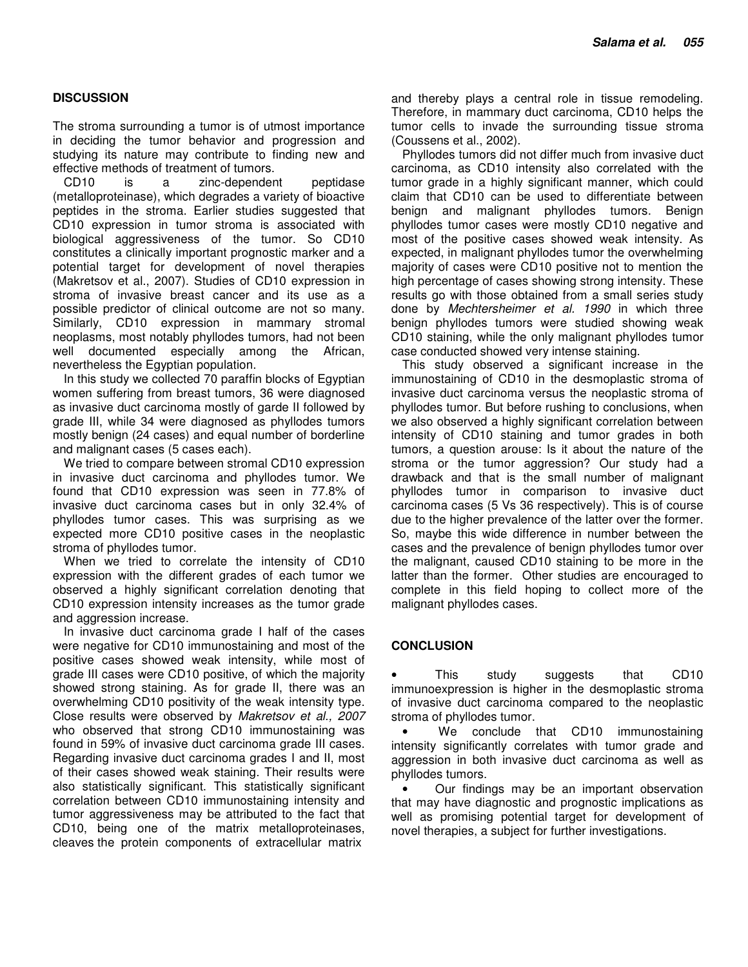#### **DISCUSSION**

The stroma surrounding a tumor is of utmost importance in deciding the tumor behavior and progression and studying its nature may contribute to finding new and effective methods of treatment of tumors.

CD10 is a zinc-dependent peptidase (metalloproteinase), which degrades a variety of bioactive peptides in the stroma. Earlier studies suggested that CD10 expression in tumor stroma is associated with biological aggressiveness of the tumor. So CD10 constitutes a clinically important prognostic marker and a potential target for development of novel therapies (Makretsov et al., 2007). Studies of CD10 expression in stroma of invasive breast cancer and its use as a possible predictor of clinical outcome are not so many. Similarly, CD10 expression in mammary stromal neoplasms, most notably phyllodes tumors, had not been well documented especially among the African, nevertheless the Egyptian population.

In this study we collected 70 paraffin blocks of Egyptian women suffering from breast tumors, 36 were diagnosed as invasive duct carcinoma mostly of garde II followed by grade III, while 34 were diagnosed as phyllodes tumors mostly benign (24 cases) and equal number of borderline and malignant cases (5 cases each).

We tried to compare between stromal CD10 expression in invasive duct carcinoma and phyllodes tumor. We found that CD10 expression was seen in 77.8% of invasive duct carcinoma cases but in only 32.4% of phyllodes tumor cases. This was surprising as we expected more CD10 positive cases in the neoplastic stroma of phyllodes tumor.

When we tried to correlate the intensity of CD10 expression with the different grades of each tumor we observed a highly significant correlation denoting that CD10 expression intensity increases as the tumor grade and aggression increase.

In invasive duct carcinoma grade I half of the cases were negative for CD10 immunostaining and most of the positive cases showed weak intensity, while most of grade III cases were CD10 positive, of which the majority showed strong staining. As for grade II, there was an overwhelming CD10 positivity of the weak intensity type. Close results were observed by Makretsov et al., 2007 who observed that strong CD10 immunostaining was found in 59% of invasive duct carcinoma grade III cases. Regarding invasive duct carcinoma grades I and II, most of their cases showed weak staining. Their results were also statistically significant. This statistically significant correlation between CD10 immunostaining intensity and tumor aggressiveness may be attributed to the fact that CD10, being one of the matrix metalloproteinases, cleaves the protein components of extracellular matrix

and thereby plays a central role in tissue remodeling. Therefore, in mammary duct carcinoma, CD10 helps the tumor cells to invade the surrounding tissue stroma (Coussens et al., 2002).

Phyllodes tumors did not differ much from invasive duct carcinoma, as CD10 intensity also correlated with the tumor grade in a highly significant manner, which could claim that CD10 can be used to differentiate between benign and malignant phyllodes tumors. Benign phyllodes tumor cases were mostly CD10 negative and most of the positive cases showed weak intensity. As expected, in malignant phyllodes tumor the overwhelming majority of cases were CD10 positive not to mention the high percentage of cases showing strong intensity. These results go with those obtained from a small series study done by Mechtersheimer et al. 1990 in which three benign phyllodes tumors were studied showing weak CD10 staining, while the only malignant phyllodes tumor case conducted showed very intense staining.

This study observed a significant increase in the immunostaining of CD10 in the desmoplastic stroma of invasive duct carcinoma versus the neoplastic stroma of phyllodes tumor. But before rushing to conclusions, when we also observed a highly significant correlation between intensity of CD10 staining and tumor grades in both tumors, a question arouse: Is it about the nature of the stroma or the tumor aggression? Our study had a drawback and that is the small number of malignant phyllodes tumor in comparison to invasive duct carcinoma cases (5 Vs 36 respectively). This is of course due to the higher prevalence of the latter over the former. So, maybe this wide difference in number between the cases and the prevalence of benign phyllodes tumor over the malignant, caused CD10 staining to be more in the latter than the former. Other studies are encouraged to complete in this field hoping to collect more of the malignant phyllodes cases.

#### **CONCLUSION**

This study suggests that CD10 immunoexpression is higher in the desmoplastic stroma of invasive duct carcinoma compared to the neoplastic stroma of phyllodes tumor.

We conclude that CD10 immunostaining intensity significantly correlates with tumor grade and aggression in both invasive duct carcinoma as well as phyllodes tumors.

• Our findings may be an important observation that may have diagnostic and prognostic implications as well as promising potential target for development of novel therapies, a subject for further investigations.